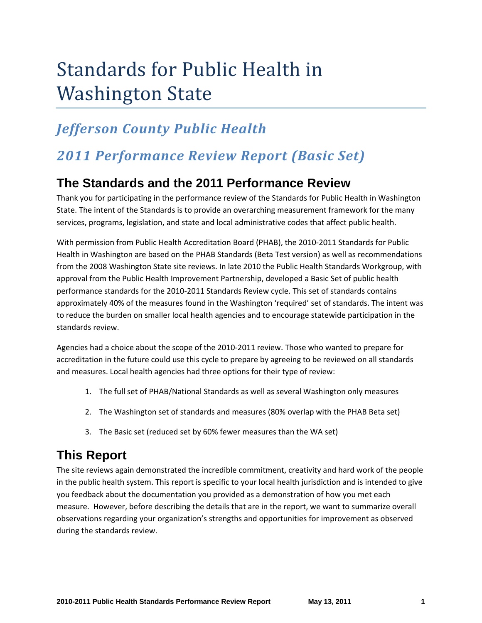# Standards for Public Health in Washington State

# *Jefferson County Public Health*

# *2011 Performance Review Report (Basic Set)*

# **The Standards and the 2011 Performance Review**

Thank you for participating in the performance review of the Standards for Public Health in Washington State. The intent of the Standards is to provide an overarching measurement framework for the many services, programs, legislation, and state and local administrative codes that affect public health.

With permission from Public Health Accreditation Board (PHAB), the 2010‐2011 Standards for Public Health in Washington are based on the PHAB Standards (Beta Test version) as well as recommendations from the 2008 Washington State site reviews. In late 2010 the Public Health Standards Workgroup, with approval from the Public Health Improvement Partnership, developed a Basic Set of public health performance standards for the 2010‐2011 Standards Review cycle. This set of standards contains approximately 40% of the measures found in the Washington 'required' set of standards. The intent was to reduce the burden on smaller local health agencies and to encourage statewide participation in the standards review.

Agencies had a choice about the scope of the 2010‐2011 review. Those who wanted to prepare for accreditation in the future could use this cycle to prepare by agreeing to be reviewed on all standards and measures. Local health agencies had three options for their type of review:

- 1. The full set of PHAB/National Standards as well as several Washington only measures
- 2. The Washington set of standards and measures (80% overlap with the PHAB Beta set)
- 3. The Basic set (reduced set by 60% fewer measures than the WA set)

# **This Report**

The site reviews again demonstrated the incredible commitment, creativity and hard work of the people in the public health system. This report is specific to your local health jurisdiction and is intended to give you feedback about the documentation you provided as a demonstration of how you met each measure. However, before describing the details that are in the report, we want to summarize overall observations regarding your organization's strengths and opportunities for improvement as observed during the standards review.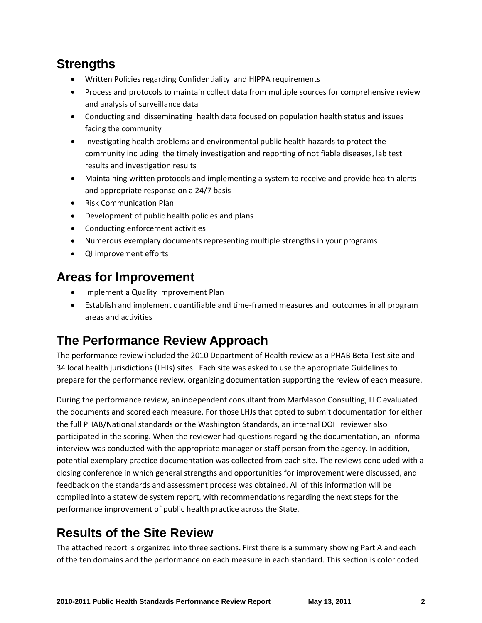# **Strengths**

- Written Policies regarding Confidentiality and HIPPA requirements
- Process and protocols to maintain collect data from multiple sources for comprehensive review and analysis of surveillance data
- Conducting and disseminating health data focused on population health status and issues facing the community
- Investigating health problems and environmental public health hazards to protect the community including the timely investigation and reporting of notifiable diseases, lab test results and investigation results
- Maintaining written protocols and implementing a system to receive and provide health alerts and appropriate response on a 24/7 basis
- Risk Communication Plan
- Development of public health policies and plans
- Conducting enforcement activities
- Numerous exemplary documents representing multiple strengths in your programs
- QI improvement efforts

# **Areas for Improvement**

- Implement a Quality Improvement Plan
- Establish and implement quantifiable and time‐framed measures and outcomes in all program areas and activities

# **The Performance Review Approach**

The performance review included the 2010 Department of Health review as a PHAB Beta Test site and 34 local health jurisdictions (LHJs) sites. Each site was asked to use the appropriate Guidelines to prepare for the performance review, organizing documentation supporting the review of each measure.

During the performance review, an independent consultant from MarMason Consulting, LLC evaluated the documents and scored each measure. For those LHJs that opted to submit documentation for either the full PHAB/National standards or the Washington Standards, an internal DOH reviewer also participated in the scoring. When the reviewer had questions regarding the documentation, an informal interview was conducted with the appropriate manager or staff person from the agency. In addition, potential exemplary practice documentation was collected from each site. The reviews concluded with a closing conference in which general strengths and opportunities for improvement were discussed, and feedback on the standards and assessment process was obtained. All of this information will be compiled into a statewide system report, with recommendations regarding the next steps for the performance improvement of public health practice across the State.

# **Results of the Site Review**

The attached report is organized into three sections. First there is a summary showing Part A and each of the ten domains and the performance on each measure in each standard. This section is color coded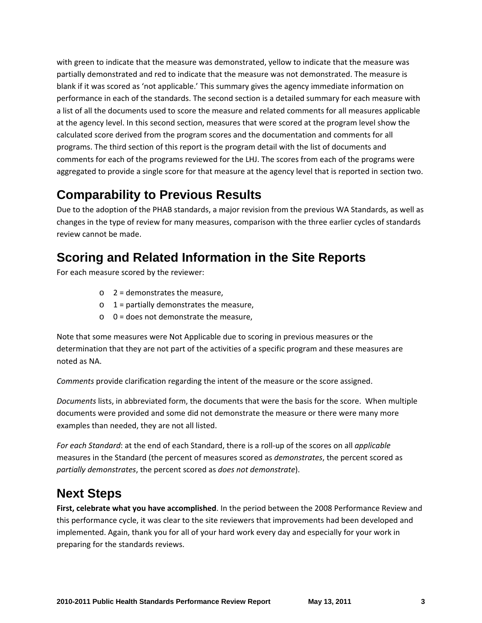with green to indicate that the measure was demonstrated, yellow to indicate that the measure was partially demonstrated and red to indicate that the measure was not demonstrated. The measure is blank if it was scored as 'not applicable.' This summary gives the agency immediate information on performance in each of the standards. The second section is a detailed summary for each measure with a list of all the documents used to score the measure and related comments for all measures applicable at the agency level. In this second section, measures that were scored at the program level show the calculated score derived from the program scores and the documentation and comments for all programs. The third section of this report is the program detail with the list of documents and comments for each of the programs reviewed for the LHJ. The scores from each of the programs were aggregated to provide a single score for that measure at the agency level that is reported in section two.

# **Comparability to Previous Results**

Due to the adoption of the PHAB standards, a major revision from the previous WA Standards, as well as changes in the type of review for many measures, comparison with the three earlier cycles of standards review cannot be made.

# **Scoring and Related Information in the Site Reports**

For each measure scored by the reviewer:

- $\circ$  2 = demonstrates the measure,
- $\circ$  1 = partially demonstrates the measure,
- $\circ$  0 = does not demonstrate the measure.

Note that some measures were Not Applicable due to scoring in previous measures or the determination that they are not part of the activities of a specific program and these measures are noted as NA.

*Comments* provide clarification regarding the intent of the measure or the score assigned.

*Documents* lists, in abbreviated form, the documents that were the basis for the score. When multiple documents were provided and some did not demonstrate the measure or there were many more examples than needed, they are not all listed.

*For each Standard*: at the end of each Standard, there is a roll‐up of the scores on all *applicable* measures in the Standard (the percent of measures scored as *demonstrates*, the percent scored as *partially demonstrates*, the percent scored as *does not demonstrate*).

# **Next Steps**

**First, celebrate what you have accomplished**. In the period between the 2008 Performance Review and this performance cycle, it was clear to the site reviewers that improvements had been developed and implemented. Again, thank you for all of your hard work every day and especially for your work in preparing for the standards reviews.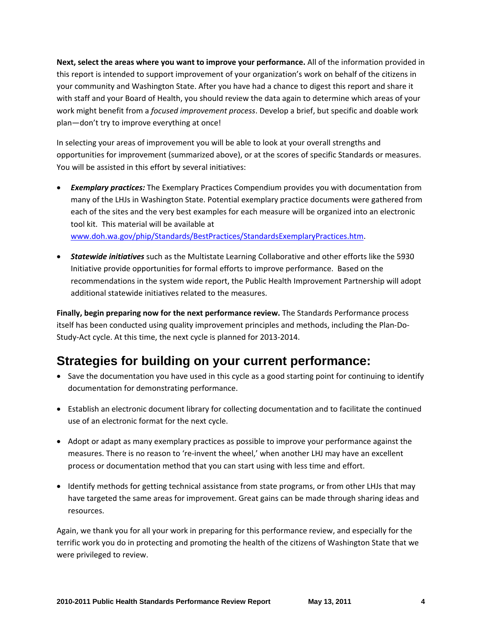**Next, select the areas where you want to improve your performance.** All of the information provided in this report is intended to support improvement of your organization's work on behalf of the citizens in your community and Washington State. After you have had a chance to digest this report and share it with staff and your Board of Health, you should review the data again to determine which areas of your work might benefit from a *focused improvement process*. Develop a brief, but specific and doable work plan—don't try to improve everything at once!

In selecting your areas of improvement you will be able to look at your overall strengths and opportunities for improvement (summarized above), or at the scores of specific Standards or measures. You will be assisted in this effort by several initiatives:

- *Exemplary practices:* The Exemplary Practices Compendium provides you with documentation from many of the LHJs in Washington State. Potential exemplary practice documents were gathered from each of the sites and the very best examples for each measure will be organized into an electronic tool kit. This material will be available at www.doh.wa.gov/phip/Standards/BestPractices/StandardsExemplaryPractices.htm.
- *Statewide initiatives* such as the Multistate Learning Collaborative and other efforts like the 5930 Initiative provide opportunities for formal efforts to improve performance. Based on the recommendations in the system wide report, the Public Health Improvement Partnership will adopt additional statewide initiatives related to the measures.

**Finally, begin preparing now for the next performance review.** The Standards Performance process itself has been conducted using quality improvement principles and methods, including the Plan‐Do‐ Study‐Act cycle. At this time, the next cycle is planned for 2013‐2014.

# **Strategies for building on your current performance:**

- Save the documentation you have used in this cycle as a good starting point for continuing to identify documentation for demonstrating performance.
- Establish an electronic document library for collecting documentation and to facilitate the continued use of an electronic format for the next cycle.
- Adopt or adapt as many exemplary practices as possible to improve your performance against the measures. There is no reason to 're-invent the wheel,' when another LHJ may have an excellent process or documentation method that you can start using with less time and effort.
- Identify methods for getting technical assistance from state programs, or from other LHJs that may have targeted the same areas for improvement. Great gains can be made through sharing ideas and resources.

Again, we thank you for all your work in preparing for this performance review, and especially for the terrific work you do in protecting and promoting the health of the citizens of Washington State that we were privileged to review.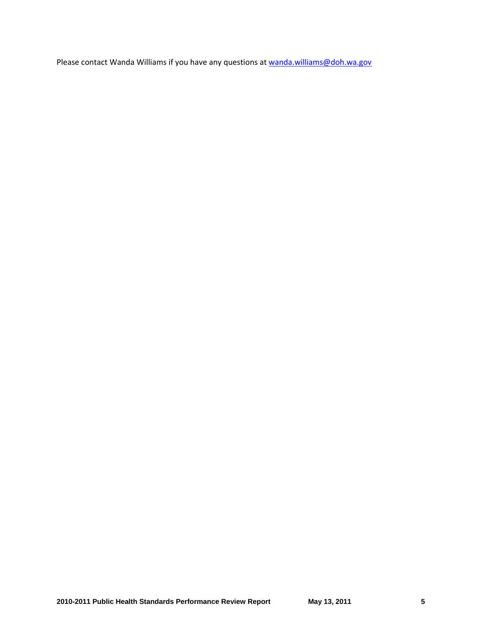Please contact Wanda Williams if you have any questions at wanda.williams@doh.wa.gov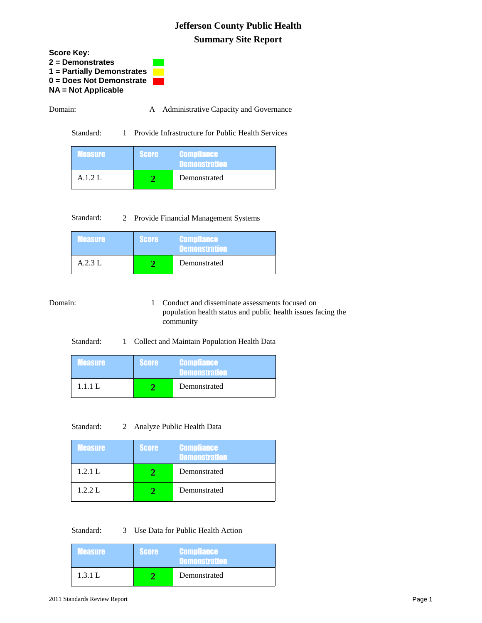**Score Key: 2 = Demonstrates 1 = Partially Demonstrates 0 = Does Not Demonstrate NA = Not Applicable** 

Domain: A Administrative Capacity and Governance

Standard: 1 Provide Infrastructure for Public Health Services

| <b>Measure</b> | <b>Score</b> | <b>Compliance</b><br><b>Demonstration</b> |
|----------------|--------------|-------------------------------------------|
| $A.1.2$ L      |              | Demonstrated                              |

Standard: 2 Provide Financial Management Systems

| <b>Measure</b> | <b>Score</b> | <b>Compliance</b><br><b>Demonstration</b> |
|----------------|--------------|-------------------------------------------|
| A.2.3L         |              | Demonstrated                              |

Domain: 1 Conduct and disseminate assessments focused on population health status and public health issues facing the community

Standard: 1 Collect and Maintain Population Health Data

| <b>Measure</b> | <b>Score</b> | <b>Compliance</b><br><b>Demonstration</b> |
|----------------|--------------|-------------------------------------------|
| 1.1.1 L        |              | Demonstrated                              |

Standard: 2 Analyze Public Health Data

| <b>Measure</b> | <b>Score</b> | <b>Compliance</b><br><b>Demonstration</b> |
|----------------|--------------|-------------------------------------------|
| 1.2.1 L        |              | Demonstrated                              |
| 1.2.2 L        |              | Demonstrated                              |

Standard: 3 Use Data for Public Health Action

| <b>Measure</b> | <b>Score</b> | <b>Compliance</b><br><b>Demonstration</b> |
|----------------|--------------|-------------------------------------------|
| 1.3.1 L        |              | Demonstrated                              |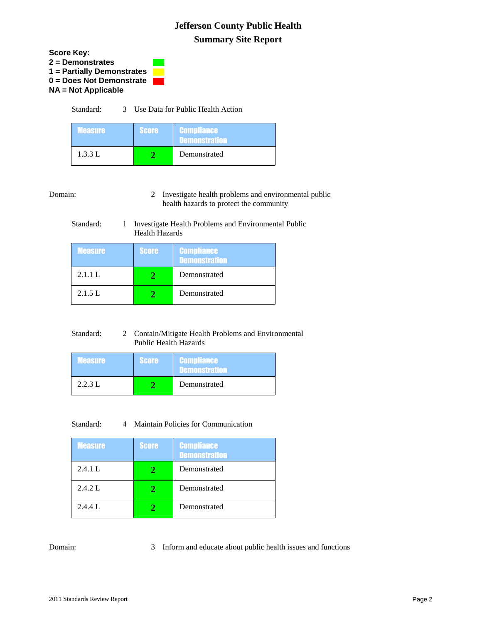

Standard: 3 Use Data for Public Health Action

| <b>Measure</b> | <b>Score</b> | <b>Compliance</b><br><b>Demonstration</b> |
|----------------|--------------|-------------------------------------------|
| 1.3.3 L        |              | Demonstrated                              |

Domain: 2 Investigate health problems and environmental public health hazards to protect the community

#### Standard: 1 Investigate Health Problems and Environmental Public Health Hazards

| <b>Measure</b> | <b>Score</b> | <b>Compliance</b><br><b>Demonstration</b> |
|----------------|--------------|-------------------------------------------|
| 2.1.1 L        |              | Demonstrated                              |
| 2.1.5 L        |              | Demonstrated                              |

| Standard: | 2 Contain/Mitigate Health Problems and Environmental |
|-----------|------------------------------------------------------|
|           | Public Health Hazards                                |

| <b>Measure</b> | <b>Score</b> | <b>Compliance</b><br><b>Demonstration</b> |
|----------------|--------------|-------------------------------------------|
| 2.2.3 L        |              | Demonstrated                              |

Standard: 4 Maintain Policies for Communication

| <b>Measure</b> | <b>Score</b> | <b>Compliance</b><br><b>Demonstration</b> |
|----------------|--------------|-------------------------------------------|
| 2.4.1 L        |              | Demonstrated                              |
| 2.4.2 L        |              | Demonstrated                              |
| 2.4.4 L        |              | Demonstrated                              |

#### Domain: 3 Inform and educate about public health issues and functions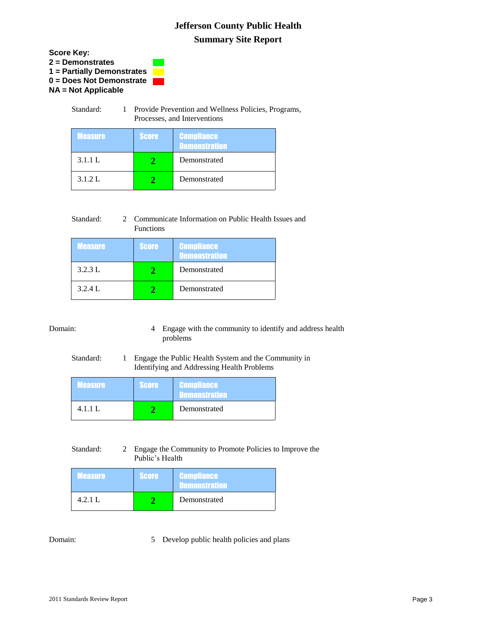

| Standard: | Provide Prevention and Wellness Policies, Programs, |
|-----------|-----------------------------------------------------|
|           | Processes, and Interventions                        |

| <b>Measure</b> | <b>Score</b> | <b>Compliance</b><br><b>Demonstration</b> |
|----------------|--------------|-------------------------------------------|
| 3.1.1 L        |              | Demonstrated                              |
| 3.1.2 L        |              | Demonstrated                              |

| Standard: | 2 Communicate Information on Public Health Issues and |
|-----------|-------------------------------------------------------|
|           | <b>Functions</b>                                      |

| <b>Measure</b> | <b>Score</b> | <b>Compliance</b><br><b>Demonstration</b> |
|----------------|--------------|-------------------------------------------|
| 3.2.3 L        |              | Demonstrated                              |
| 3.2.4 L        |              | Demonstrated                              |

Domain: 4 Engage with the community to identify and address health problems

### Standard: 1 Engage the Public Health System and the Community in Identifying and Addressing Health Problems

| <b>Measure</b> | <b>Score</b> | <b>Compliance</b><br><b>Demonstration</b> |
|----------------|--------------|-------------------------------------------|
| 4.1.1 L        |              | Demonstrated                              |

#### Standard: 2 Engage the Community to Promote Policies to Improve the Public's Health

| <b>Measure</b> | <b>Score</b> | <b>Compliance</b><br><b>Demonstration</b> |
|----------------|--------------|-------------------------------------------|
| 4.2.1 L        |              | Demonstrated                              |

Domain: 5 Develop public health policies and plans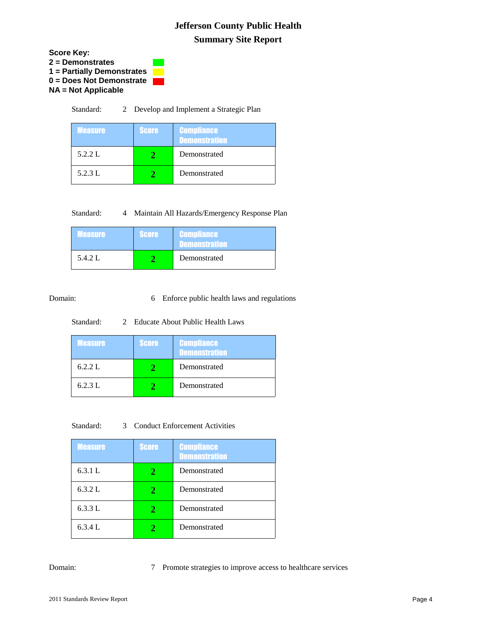

Standard: 2 Develop and Implement a Strategic Plan

| <b>Measure</b> | <b>Score</b> | <b>Compliance</b><br><b>Demonstration</b> |
|----------------|--------------|-------------------------------------------|
| 5.2.2 L        |              | Demonstrated                              |
| 5.2.3 L        |              | Demonstrated                              |

|  | Standard: |  | Maintain All Hazards/Emergency Response Plan |  |
|--|-----------|--|----------------------------------------------|--|
|--|-----------|--|----------------------------------------------|--|

| <b>Measure</b> | <b>Score</b> | <b>Compliance</b><br><b>Demonstration</b> |
|----------------|--------------|-------------------------------------------|
| 5.4.2 L        |              | Demonstrated                              |

#### Domain: 6 Enforce public health laws and regulations

#### Standard: 2 Educate About Public Health Laws

| <b>Measure</b> | <b>Score</b> | <b>Compliance</b><br>Demonstration |
|----------------|--------------|------------------------------------|
| 6.2.2 L        |              | Demonstrated                       |
| 6.2.3 L        |              | Demonstrated                       |

Standard: 3 Conduct Enforcement Activities

| <b>Measure</b> | <b>Score</b> | <b>Compliance</b><br><b>Demonstration</b> |
|----------------|--------------|-------------------------------------------|
| 6.3.1 L        | 2            | Demonstrated                              |
| 6.3.2 L        | 2            | Demonstrated                              |
| 6.3.3 L        | 2            | Demonstrated                              |
| 6.3.4 L        |              | Demonstrated                              |

#### Domain: 7 Promote strategies to improve access to healthcare services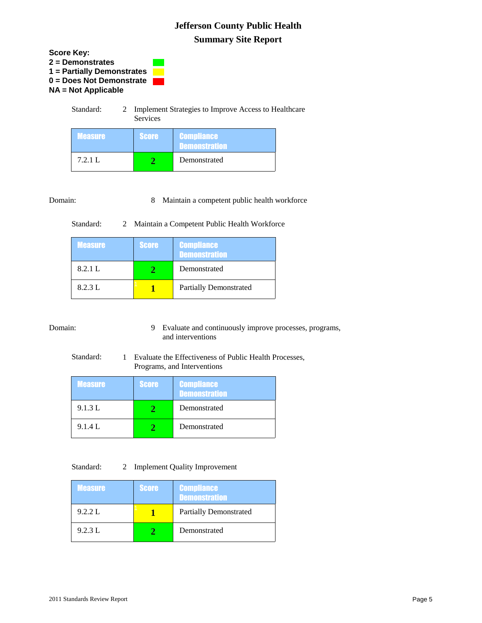

|                | Services     |                                    |
|----------------|--------------|------------------------------------|
| <b>Measure</b> | <b>Score</b> | <b>Compliance</b><br>Demonstration |
| 7.2.1 L        |              | Demonstrated                       |

### Domain: 8 Maintain a competent public health workforce

Standard: 2 Maintain a Competent Public Health Workforce

| <b>Measure</b> | <b>Score</b> | <b>Compliance</b><br><b>Demonstration</b> |
|----------------|--------------|-------------------------------------------|
| 8.2.1 L        |              | Demonstrated                              |
| 8.2.3 L        |              | <b>Partially Demonstrated</b>             |

Domain: 9 Evaluate and continuously improve processes, programs, and interventions

Standard: 1 Evaluate the Effectiveness of Public Health Processes, Programs, and Interventions

| <b>Measure</b> | <b>Score</b> | <b>Compliance</b><br><b>Demonstration</b> |
|----------------|--------------|-------------------------------------------|
| 9.1.3 L        |              | Demonstrated                              |
| 9.1.4 L        |              | Demonstrated                              |

#### Standard: 2 Implement Quality Improvement

| <b>Measure</b> | <b>Score</b> | <b>Compliance</b><br><b>Demonstration</b> |
|----------------|--------------|-------------------------------------------|
| 9.2.2 L        |              | <b>Partially Demonstrated</b>             |
| 9.2.3 L        |              | Demonstrated                              |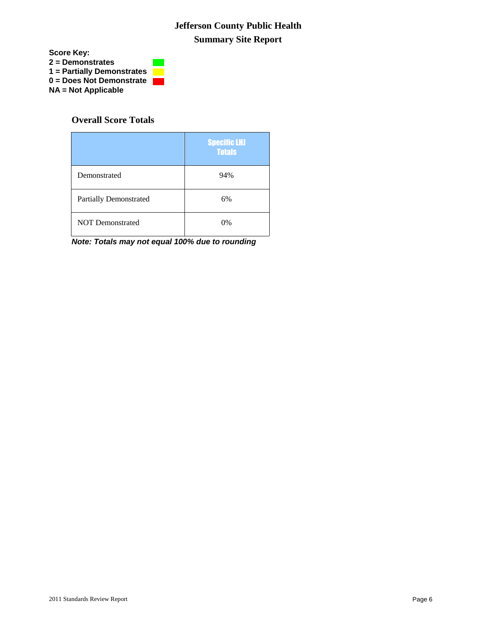

### **Overall Score Totals**

|                               | <b>Specific LHJ</b><br><b>Totals</b> |
|-------------------------------|--------------------------------------|
| Demonstrated                  | 94%                                  |
| <b>Partially Demonstrated</b> | 6%                                   |
| <b>NOT Demonstrated</b>       | $0\%$                                |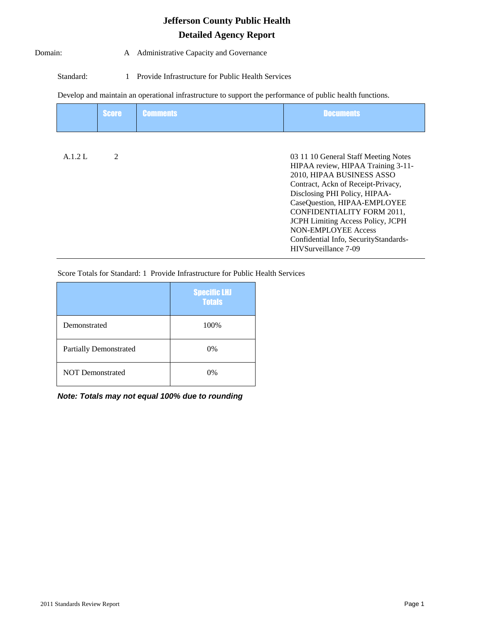#### Domain: A Administrative Capacity and Governance

Standard: 1 Provide Infrastructure for Public Health Services

Develop and maintain an operational infrastructure to support the performance of public health functions.

|         | <b>Score</b>   | <b>Comments</b> | <b>Documents</b>                                                                                                                                                                                                                                                                                                                                                                        |
|---------|----------------|-----------------|-----------------------------------------------------------------------------------------------------------------------------------------------------------------------------------------------------------------------------------------------------------------------------------------------------------------------------------------------------------------------------------------|
| A.1.2 L | $\mathfrak{D}$ |                 | 03 11 10 General Staff Meeting Notes<br>HIPAA review, HIPAA Training 3-11-<br>2010, HIPAA BUSINESS ASSO<br>Contract, Ackn of Receipt-Privacy,<br>Disclosing PHI Policy, HIPAA-<br>CaseQuestion, HIPAA-EMPLOYEE<br><b>CONFIDENTIALITY FORM 2011,</b><br>JCPH Limiting Access Policy, JCPH<br><b>NON-EMPLOYEE Access</b><br>Confidential Info, SecurityStandards-<br>HIVSurveillance 7-09 |

Score Totals for Standard: 1 Provide Infrastructure for Public Health Services

|                               | <b>Specific LHJ</b><br><b>Totals</b> |
|-------------------------------|--------------------------------------|
| Demonstrated                  | 100%                                 |
| <b>Partially Demonstrated</b> | $0\%$                                |
| <b>NOT Demonstrated</b>       | 0%                                   |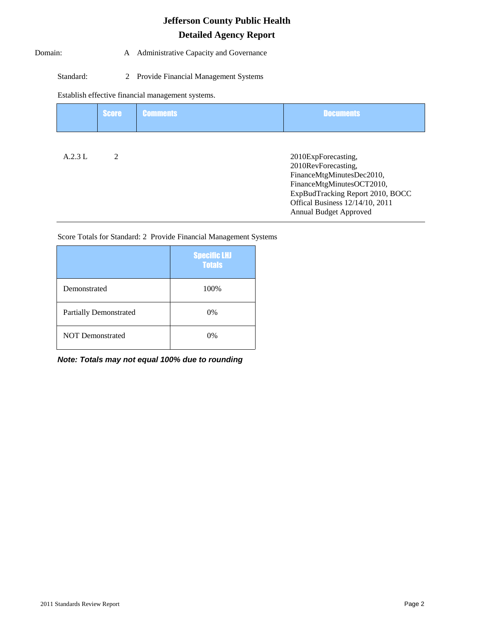#### Domain: A Administrative Capacity and Governance

#### Standard: 2 Provide Financial Management Systems

Establish effective financial management systems.

|        | <b>Score</b>   | <b>Comments</b> | <b>Documents</b>                                                                                                                                                                                             |
|--------|----------------|-----------------|--------------------------------------------------------------------------------------------------------------------------------------------------------------------------------------------------------------|
| A.2.3L | $\mathfrak{D}$ |                 | 2010ExpForecasting,<br>2010RevForecasting,<br>FinanceMtgMinutesDec2010,<br>FinanceMtgMinutesOCT2010,<br>ExpBudTracking Report 2010, BOCC<br>Offical Business 12/14/10, 2011<br><b>Annual Budget Approved</b> |

Score Totals for Standard: 2 Provide Financial Management Systems

|                               | <b>Specific LHJ</b><br><b>Totals</b> |
|-------------------------------|--------------------------------------|
| Demonstrated                  | 100%                                 |
| <b>Partially Demonstrated</b> | $0\%$                                |
| <b>NOT Demonstrated</b>       | $0\%$                                |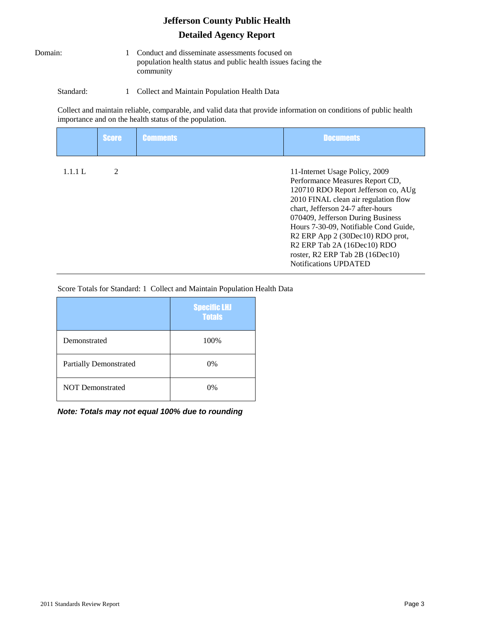Domain: 1 Conduct and disseminate assessments focused on population health status and public health issues facing the community

Standard: 1 Collect and Maintain Population Health Data

Collect and maintain reliable, comparable, and valid data that provide information on conditions of public health importance and on the health status of the population.

|         | <b>Score</b>   | <b>Comments</b> | <b>Documents</b>                                                                                                                                                                                                                                                                                                                                                                                                      |
|---------|----------------|-----------------|-----------------------------------------------------------------------------------------------------------------------------------------------------------------------------------------------------------------------------------------------------------------------------------------------------------------------------------------------------------------------------------------------------------------------|
| 1.1.1 L | $\mathfrak{D}$ |                 | 11-Internet Usage Policy, 2009<br>Performance Measures Report CD,<br>120710 RDO Report Jefferson co, AUg<br>2010 FINAL clean air regulation flow<br>chart, Jefferson 24-7 after-hours<br>070409, Jefferson During Business<br>Hours 7-30-09, Notifiable Cond Guide,<br>R2 ERP App 2 (30Dec10) RDO prot,<br>R <sub>2</sub> ERP Tab 2A (16Dec10) RDO<br>roster, R2 ERP Tab 2B (16Dec10)<br><b>Notifications UPDATED</b> |

Score Totals for Standard: 1 Collect and Maintain Population Health Data

|                               | <b>Specific LHJ</b><br><b>Totals</b> |
|-------------------------------|--------------------------------------|
| Demonstrated                  | 100%                                 |
| <b>Partially Demonstrated</b> | 0%                                   |
| <b>NOT Demonstrated</b>       | 0%                                   |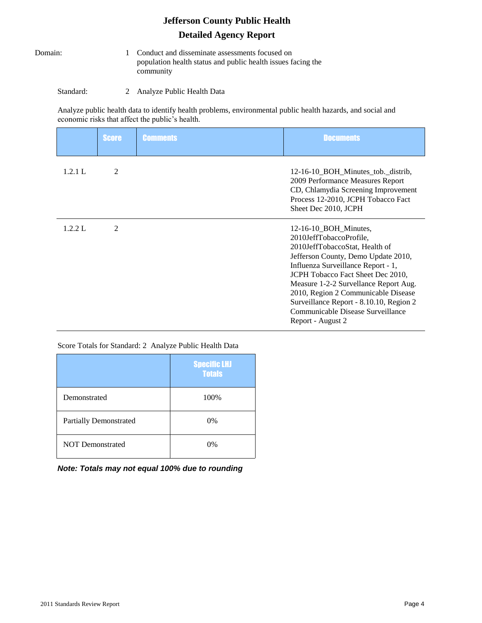Domain: 1 Conduct and disseminate assessments focused on population health status and public health issues facing the community

Standard: 2 Analyze Public Health Data

Analyze public health data to identify health problems, environmental public health hazards, and social and economic risks that affect the public's health.

|         | <b>Score</b>   | <b>Comments</b> | <b>Documents</b>                                                                                                                                                                                                                                                                                                                                                                            |
|---------|----------------|-----------------|---------------------------------------------------------------------------------------------------------------------------------------------------------------------------------------------------------------------------------------------------------------------------------------------------------------------------------------------------------------------------------------------|
| 1.2.1 L | 2              |                 | 12-16-10_BOH_Minutes_tob._distrib,<br>2009 Performance Measures Report<br>CD, Chlamydia Screening Improvement<br>Process 12-2010, JCPH Tobacco Fact<br>Sheet Dec 2010, JCPH                                                                                                                                                                                                                 |
| 1.2.2 L | $\mathfrak{D}$ |                 | $12-16-10$ BOH Minutes,<br>2010JeffTobaccoProfile,<br>2010JeffTobaccoStat, Health of<br>Jefferson County, Demo Update 2010,<br>Influenza Surveillance Report - 1,<br>JCPH Tobacco Fact Sheet Dec 2010,<br>Measure 1-2-2 Survellance Report Aug.<br>2010, Region 2 Communicable Disease<br>Surveillance Report - 8.10.10, Region 2<br>Communicable Disease Surveillance<br>Report - August 2 |

Score Totals for Standard: 2 Analyze Public Health Data

|                               | <b>Specific LHJ</b><br><b>Totals</b> |
|-------------------------------|--------------------------------------|
| Demonstrated                  | 100%                                 |
| <b>Partially Demonstrated</b> | $0\%$                                |
| <b>NOT Demonstrated</b>       | 0%                                   |

*Note: Totals may not equal 100% due to rounding*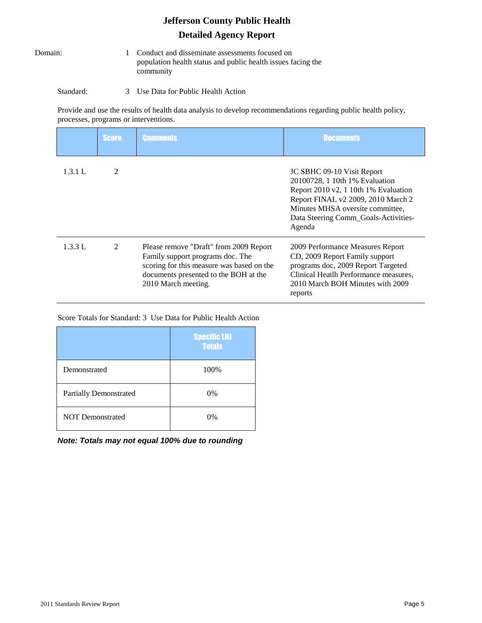Domain: 1 Conduct and disseminate assessments focused on population health status and public health issues facing the community

#### Standard: 3 Use Data for Public Health Action

Provide and use the results of health data analysis to develop recommendations regarding public health policy, processes, programs or interventions.

|         | <b>Score</b>   | <b>Comments</b>                                                                                                                                                                         | <b>Documents</b>                                                                                                                                                                                                                 |
|---------|----------------|-----------------------------------------------------------------------------------------------------------------------------------------------------------------------------------------|----------------------------------------------------------------------------------------------------------------------------------------------------------------------------------------------------------------------------------|
| 1.3.1 L | $\mathfrak{D}$ |                                                                                                                                                                                         | JC SBHC 09-10 Visit Report<br>20100728, 1 10th 1% Evaluation<br>Report 2010 v2, 1 10th 1% Evaluation<br>Report FINAL v2 2009, 2010 March 2<br>Minutes MHSA oversite committee,<br>Data Steering Comm_Goals-Activities-<br>Agenda |
| 1.3.3 L | 2              | Please remove "Draft" from 2009 Report<br>Family support programs doc. The<br>scoring for this measure was based on the<br>documents presented to the BOH at the<br>2010 March meeting. | 2009 Performance Measures Report<br>CD, 2009 Report Family support<br>programs doc, 2009 Report Targeted<br>Clinical Heatlh Performance measures,<br>2010 March BOH Minutes with 2009<br>reports                                 |

Score Totals for Standard: 3 Use Data for Public Health Action

|                               | <b>Specific LHJ</b><br><b>Totals</b> |
|-------------------------------|--------------------------------------|
| Demonstrated                  | 100%                                 |
| <b>Partially Demonstrated</b> | $0\%$                                |
| <b>NOT Demonstrated</b>       | 0%                                   |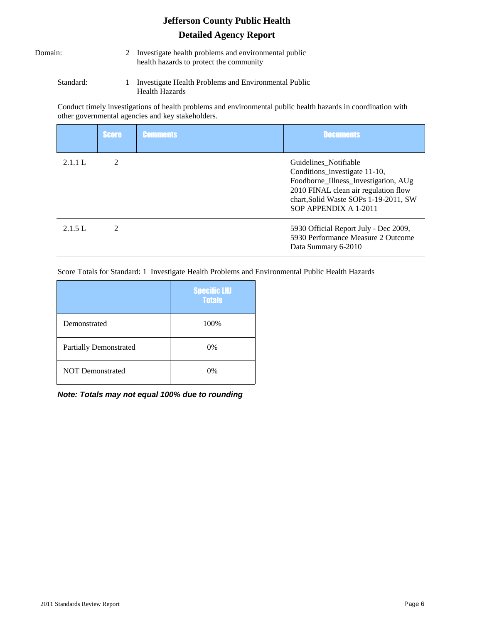- Domain: 2 Investigate health problems and environmental public health hazards to protect the community
	- Standard: 1 Investigate Health Problems and Environmental Public Health Hazards

Conduct timely investigations of health problems and environmental public health hazards in coordination with other governmental agencies and key stakeholders.

|         | <b>Score</b>   | <b>Comments</b> | <b>Documents</b>                                                                                                                                                                                         |
|---------|----------------|-----------------|----------------------------------------------------------------------------------------------------------------------------------------------------------------------------------------------------------|
| 2.1.1 L | $\mathfrak{D}$ |                 | Guidelines Notifiable<br>Conditions_investigate 11-10,<br>Foodborne_Illness_Investigation, AUg<br>2010 FINAL clean air regulation flow<br>chart, Solid Waste SOPs 1-19-2011, SW<br>SOP APPENDIX A 1-2011 |
| 2.1.5 L | $\mathfrak{D}$ |                 | 5930 Official Report July - Dec 2009,<br>5930 Performance Measure 2 Outcome<br>Data Summary 6-2010                                                                                                       |

Score Totals for Standard: 1 Investigate Health Problems and Environmental Public Health Hazards

|                               | <b>Specific LHJ</b><br><b>Totals</b> |
|-------------------------------|--------------------------------------|
| Demonstrated                  | 100%                                 |
| <b>Partially Demonstrated</b> | 0%                                   |
| <b>NOT Demonstrated</b>       | $0\%$                                |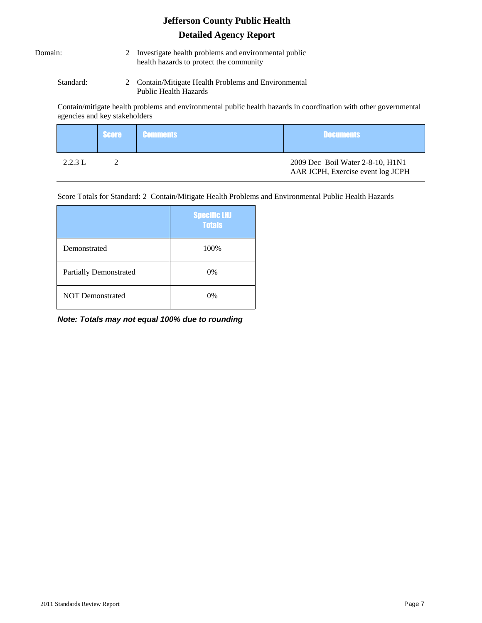| Domain: |  |
|---------|--|
|         |  |

- 2 Investigate health problems and environmental public health hazards to protect the community
- Standard: 2 Contain/Mitigate Health Problems and Environmental Public Health Hazards

Contain/mitigate health problems and environmental public health hazards in coordination with other governmental agencies and key stakeholders

|         | <b>Score Comments</b> | <b>Documents</b>                                                      |
|---------|-----------------------|-----------------------------------------------------------------------|
| 2.2.3 L |                       | 2009 Dec Boil Water 2-8-10, H1N1<br>AAR JCPH, Exercise event log JCPH |

Score Totals for Standard: 2 Contain/Mitigate Health Problems and Environmental Public Health Hazards

|                               | <b>Specific LHJ</b><br><b>Totals</b> |
|-------------------------------|--------------------------------------|
| Demonstrated                  | 100%                                 |
| <b>Partially Demonstrated</b> | 0%                                   |
| <b>NOT Demonstrated</b>       | 0%                                   |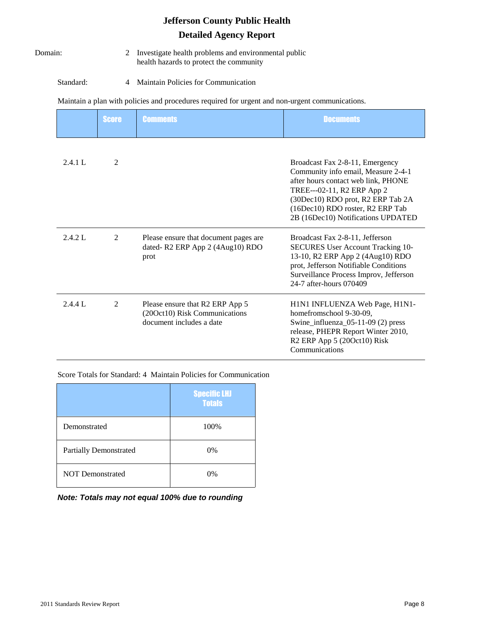Domain: 2 Investigate health problems and environmental public health hazards to protect the community

Standard: 4 Maintain Policies for Communication

Maintain a plan with policies and procedures required for urgent and non-urgent communications.

|  | Score Comments | <b>Documents</b> |
|--|----------------|------------------|
|  |                |                  |

| 2.4.1 L | 2 |                                                                                              | Broadcast Fax 2-8-11, Emergency<br>Community info email, Measure 2-4-1<br>after hours contact web link, PHONE<br>TREE---02-11, R2 ERP App 2<br>(30Dec10) RDO prot, R2 ERP Tab 2A<br>(16Dec10) RDO roster, R2 ERP Tab<br>2B (16Dec10) Notifications UPDATED |
|---------|---|----------------------------------------------------------------------------------------------|------------------------------------------------------------------------------------------------------------------------------------------------------------------------------------------------------------------------------------------------------------|
| 2.4.2 L | 2 | Please ensure that document pages are<br>dated-R2 ERP App 2 (4Aug10) RDO<br>prot             | Broadcast Fax 2-8-11, Jefferson<br><b>SECURES</b> User Account Tracking 10-<br>13-10, R2 ERP App 2 (4Aug10) RDO<br>prot, Jefferson Notifiable Conditions<br>Surveillance Process Improv, Jefferson<br>24-7 after-hours 070409                              |
| 2.4.4 L | 2 | Please ensure that R2 ERP App 5<br>(20Oct10) Risk Communications<br>document includes a date | H1N1 INFLUENZA Web Page, H1N1-<br>homefromschool 9-30-09,<br>Swine_influenza_05-11-09 $(2)$ press<br>release, PHEPR Report Winter 2010,<br>R <sub>2</sub> ERP App 5 (20Oct10) Risk<br>Communications                                                       |

Score Totals for Standard: 4 Maintain Policies for Communication

|                               | <b>Specific LHJ</b><br><b>Totals</b> |
|-------------------------------|--------------------------------------|
| Demonstrated                  | 100%                                 |
| <b>Partially Demonstrated</b> | 0%                                   |
| <b>NOT Demonstrated</b>       | $0\%$                                |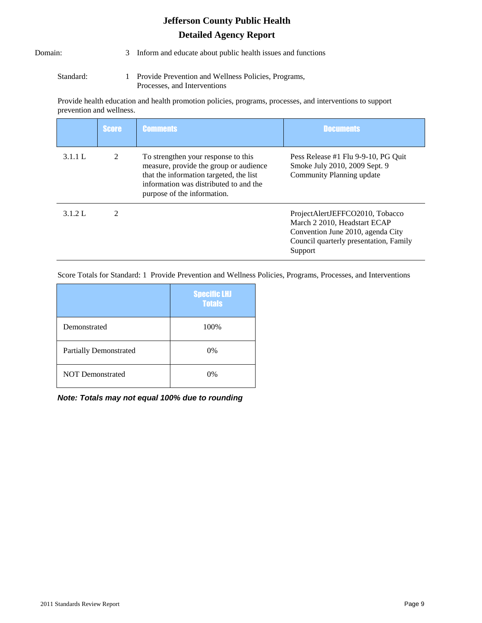Domain: 3 Inform and educate about public health issues and functions

Standard: 1 Provide Prevention and Wellness Policies, Programs, Processes, and Interventions

Provide health education and health promotion policies, programs, processes, and interventions to support prevention and wellness.

|         | <b>Score</b>   | <b>Comments</b>                                                                                                                                                                                   | <b>Documents</b>                                                                                                                                          |
|---------|----------------|---------------------------------------------------------------------------------------------------------------------------------------------------------------------------------------------------|-----------------------------------------------------------------------------------------------------------------------------------------------------------|
| 3.1.1 L | $\mathfrak{D}$ | To strengthen your response to this<br>measure, provide the group or audience<br>that the information targeted, the list<br>information was distributed to and the<br>purpose of the information. | Pess Release #1 Flu 9-9-10, PG Quit<br>Smoke July 2010, 2009 Sept. 9<br>Community Planning update                                                         |
| 3.1.2 L | 2              |                                                                                                                                                                                                   | ProjectAlertJEFFCO2010, Tobacco<br>March 2 2010, Headstart ECAP<br>Convention June 2010, agenda City<br>Council quarterly presentation, Family<br>Support |

Score Totals for Standard: 1 Provide Prevention and Wellness Policies, Programs, Processes, and Interventions

|                               | <b>Specific LHJ</b><br><b>Totals</b> |
|-------------------------------|--------------------------------------|
| Demonstrated                  | 100%                                 |
| <b>Partially Demonstrated</b> | $0\%$                                |
| <b>NOT Demonstrated</b>       | 0%                                   |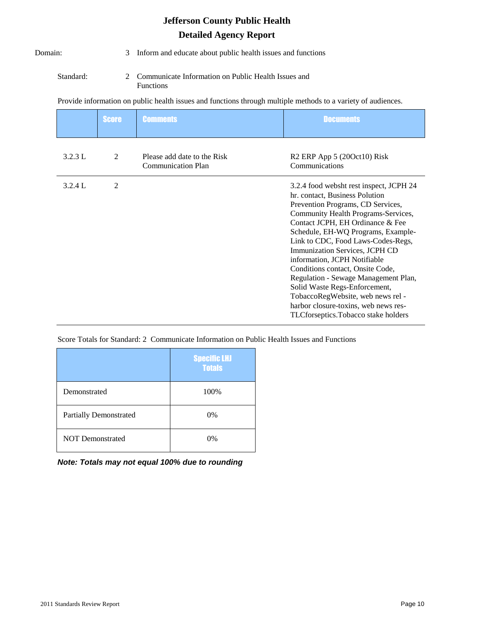| Domain:   | 3              | Inform and educate about public health issues and functions                                                   |                                                                                                                                                                                                                                                                                                                                                                                                                                                                                                                                                                          |  |
|-----------|----------------|---------------------------------------------------------------------------------------------------------------|--------------------------------------------------------------------------------------------------------------------------------------------------------------------------------------------------------------------------------------------------------------------------------------------------------------------------------------------------------------------------------------------------------------------------------------------------------------------------------------------------------------------------------------------------------------------------|--|
| Standard: | $\mathfrak{D}$ | Communicate Information on Public Health Issues and<br><b>Functions</b>                                       |                                                                                                                                                                                                                                                                                                                                                                                                                                                                                                                                                                          |  |
|           |                | Provide information on public health issues and functions through multiple methods to a variety of audiences. |                                                                                                                                                                                                                                                                                                                                                                                                                                                                                                                                                                          |  |
|           | <b>Score</b>   | <b>Comments</b>                                                                                               | <b>Documents</b>                                                                                                                                                                                                                                                                                                                                                                                                                                                                                                                                                         |  |
| 3.2.3 L   | 2              | Please add date to the Risk<br><b>Communication Plan</b>                                                      | R <sub>2</sub> ERP App 5 (20Oct10) Risk<br>Communications                                                                                                                                                                                                                                                                                                                                                                                                                                                                                                                |  |
| 3.2.4 L   | $\overline{2}$ |                                                                                                               | 3.2.4 food websht rest inspect, JCPH 24<br>hr. contact, Business Polution<br>Prevention Programs, CD Services,<br>Community Health Programs-Services,<br>Contact JCPH, EH Ordinance & Fee<br>Schedule, EH-WQ Programs, Example-<br>Link to CDC, Food Laws-Codes-Regs,<br>Immunization Services, JCPH CD<br>information, JCPH Notifiable<br>Conditions contact, Onsite Code,<br>Regulation - Sewage Management Plan,<br>Solid Waste Regs-Enforcement,<br>TobaccoRegWebsite, web news rel -<br>harbor closure-toxins, web news res-<br>TLCforseptics.Tobacco stake holders |  |

Score Totals for Standard: 2 Communicate Information on Public Health Issues and Functions

|                               | <b>Specific LHJ</b><br><b>Totals</b> |
|-------------------------------|--------------------------------------|
| Demonstrated                  | 100%                                 |
| <b>Partially Demonstrated</b> | $0\%$                                |
| <b>NOT Demonstrated</b>       | $0\%$                                |

*Note: Totals may not equal 100% due to rounding*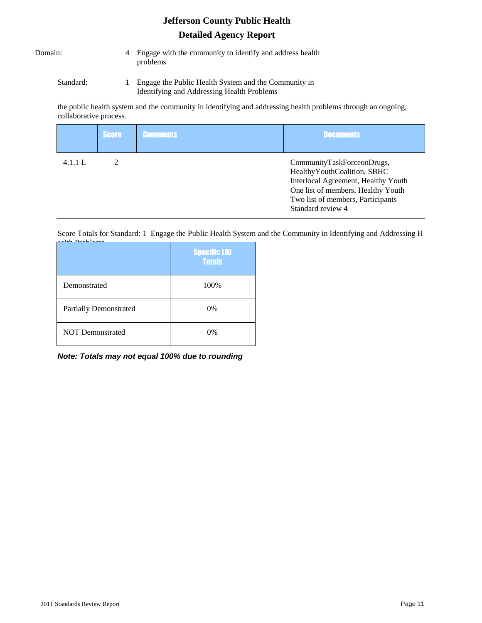- Domain: 4 Engage with the community to identify and address health problems
	- Standard: 1 Engage the Public Health System and the Community in Identifying and Addressing Health Problems

the public health system and the community in identifying and addressing health problems through an ongoing, collaborative process.

|         | Score | <b>Comments</b> | <b>Documents</b>                                                                                                                                                                                   |
|---------|-------|-----------------|----------------------------------------------------------------------------------------------------------------------------------------------------------------------------------------------------|
| 4.1.1 L |       |                 | CommunityTaskForceonDrugs,<br>Healthy Youth Coalition, SBHC<br>Interlocal Agreement, Healthy Youth<br>One list of members, Healthy Youth<br>Two list of members, Participants<br>Standard review 4 |

Score Totals for Standard: 1 Engage the Public Health System and the Community in Identifying and Addressing H  $14.1 P<sub>max</sub> 1.1$ 

|                               | <b>Specific LHJ</b><br><b>Totals</b> |
|-------------------------------|--------------------------------------|
| Demonstrated                  | 100%                                 |
| <b>Partially Demonstrated</b> | $0\%$                                |
| <b>NOT Demonstrated</b>       | $0\%$                                |

*Note: Totals may not equal 100% due to rounding*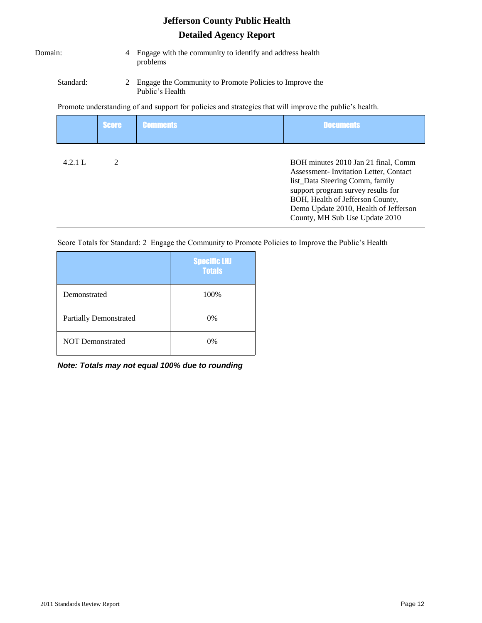| Domain: |  |
|---------|--|
|         |  |

Domain: 4 Engage with the community to identify and address health problems

#### Standard: 2 Engage the Community to Promote Policies to Improve the Public's Health

Promote understanding of and support for policies and strategies that will improve the public's health.

|         | <b>Score</b>  | <b>Comments</b> | <b>Documents</b>                                                                                                                                                                                                                                                     |
|---------|---------------|-----------------|----------------------------------------------------------------------------------------------------------------------------------------------------------------------------------------------------------------------------------------------------------------------|
| 4.2.1 L | $\mathcal{D}$ |                 | BOH minutes 2010 Jan 21 final, Comm<br>Assessment-Invitation Letter, Contact<br>list_Data Steering Comm, family<br>support program survey results for<br>BOH, Health of Jefferson County,<br>Demo Update 2010, Health of Jefferson<br>County, MH Sub Use Update 2010 |

Score Totals for Standard: 2 Engage the Community to Promote Policies to Improve the Public's Health

|                               | <b>Specific LHJ</b><br><b>Totals</b> |
|-------------------------------|--------------------------------------|
| Demonstrated                  | 100%                                 |
| <b>Partially Demonstrated</b> | $0\%$                                |
| <b>NOT Demonstrated</b>       | 0%                                   |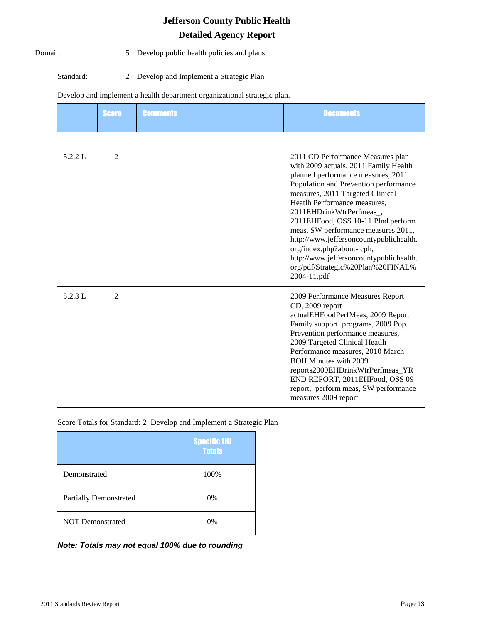Domain: 5 Develop public health policies and plans

Standard: 2 Develop and Implement a Strategic Plan

#### Develop and implement a health department organizational strategic plan.

|         | <b>Score</b>   | <b>Comments</b> | <b>Documents</b>                                                                                                                                                                                                                                                                                                                                                                                                                                                                                             |
|---------|----------------|-----------------|--------------------------------------------------------------------------------------------------------------------------------------------------------------------------------------------------------------------------------------------------------------------------------------------------------------------------------------------------------------------------------------------------------------------------------------------------------------------------------------------------------------|
| 5.2.2 L | 2              |                 | 2011 CD Performance Measures plan<br>with 2009 actuals, 2011 Family Health<br>planned performance measures, 2011<br>Population and Prevention performance<br>measures, 2011 Targeted Clinical<br>Heatlh Performance measures,<br>2011EHDrinkWtrPerfmeas.<br>2011EHFood, OSS 10-11 Plnd perform<br>meas, SW performance measures 2011,<br>http://www.jeffersoncountypublichealth.<br>org/index.php?about-jcph,<br>http://www.jeffersoncountypublichealth.<br>org/pdf/Strategic%20Plan%20FINAL%<br>2004-11.pdf |
| 5.2.3 L | $\overline{2}$ |                 | 2009 Performance Measures Report<br>CD, 2009 report<br>actualEHFoodPerfMeas, 2009 Report<br>Family support programs, 2009 Pop.<br>Prevention performance measures,<br>2009 Targeted Clinical Heatlh<br>Performance measures, 2010 March<br><b>BOH Minutes with 2009</b><br>reports2009EHDrinkWtrPerfmeas_YR<br>END REPORT, 2011EHFood, OSS 09<br>report, perform meas, SW performance<br>measures 2009 report                                                                                                |

Score Totals for Standard: 2 Develop and Implement a Strategic Plan

|                               | <b>Specific LHJ</b><br><b>Totals</b> |
|-------------------------------|--------------------------------------|
| Demonstrated                  | 100%                                 |
| <b>Partially Demonstrated</b> | $0\%$                                |
| <b>NOT Demonstrated</b>       | $0\%$                                |

*Note: Totals may not equal 100% due to rounding*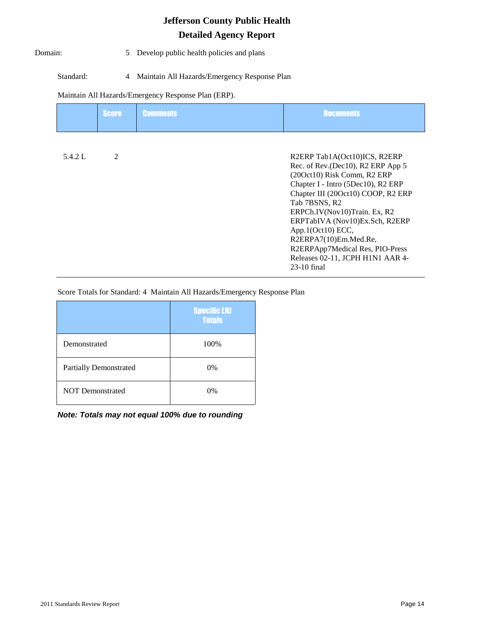Domain: 5 Develop public health policies and plans

#### Standard: 4 Maintain All Hazards/Emergency Response Plan

#### Maintain All Hazards/Emergency Response Plan (ERP).

|         | <b>Score</b>   | <b>Comments</b> | <b>Documents</b>                                                                                                                                                                                                                                                                                                                                                                                       |
|---------|----------------|-----------------|--------------------------------------------------------------------------------------------------------------------------------------------------------------------------------------------------------------------------------------------------------------------------------------------------------------------------------------------------------------------------------------------------------|
| 5.4.2 L | $\mathfrak{D}$ |                 | R2ERP Tab1A(Oct10)ICS, R2ERP<br>Rec. of Rev. (Dec10), R2 ERP App 5<br>(200ct10) Risk Comm, R2 ERP<br>Chapter I - Intro (5Dec10), R2 ERP<br>Chapter III (20Oct10) COOP, R2 ERP<br>Tab 7BSNS, R2<br>ERPCh.IV(Nov10)Train. Ex, R2<br>ERPTabIVA (Nov10)Ex.Sch, R2ERP<br>App.1(Oct10) ECC,<br>R2ERPA7(10)Em.Med.Re,<br>R2ERPApp7Medical Res, PIO-Press<br>Releases 02-11, JCPH H1N1 AAR 4-<br>$23-10$ final |

Score Totals for Standard: 4 Maintain All Hazards/Emergency Response Plan

|                               | <b>Specific LHJ</b><br><b>Totals</b> |
|-------------------------------|--------------------------------------|
| Demonstrated                  | 100%                                 |
| <b>Partially Demonstrated</b> | $0\%$                                |
| <b>NOT Demonstrated</b>       | 0%                                   |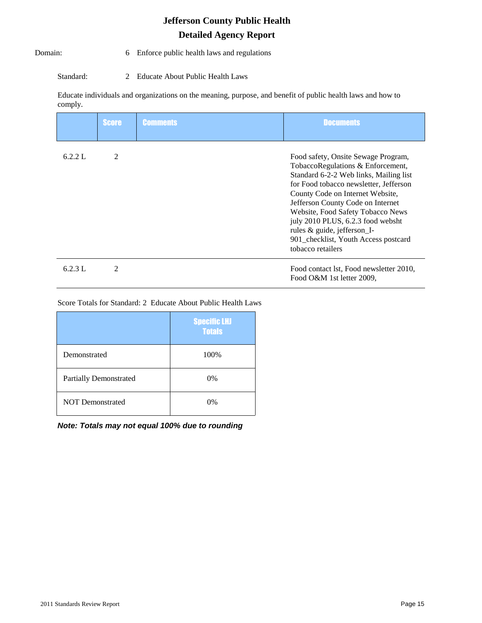#### Domain: 6 Enforce public health laws and regulations

Standard: 2 Educate About Public Health Laws

Educate individuals and organizations on the meaning, purpose, and benefit of public health laws and how to comply.

|         | <b>Score</b> | <b>Comments</b> | <b>Documents</b>                                                                                                                                                                                                                                                                                                                                                                                            |
|---------|--------------|-----------------|-------------------------------------------------------------------------------------------------------------------------------------------------------------------------------------------------------------------------------------------------------------------------------------------------------------------------------------------------------------------------------------------------------------|
| 6.2.2 L | 2            |                 | Food safety, Onsite Sewage Program,<br>TobaccoRegulations & Enforcement,<br>Standard 6-2-2 Web links, Mailing list<br>for Food tobacco newsletter, Jefferson<br>County Code on Internet Website,<br>Jefferson County Code on Internet<br>Website, Food Safety Tobacco News<br>july 2010 PLUS, 6.2.3 food websht<br>rules & guide, jefferson_I-<br>901_checklist, Youth Access postcard<br>tobacco retailers |
| 6.2.3 L | 2            |                 | Food contact lst, Food newsletter 2010,<br>Food O&M 1st letter 2009,                                                                                                                                                                                                                                                                                                                                        |

#### Score Totals for Standard: 2 Educate About Public Health Laws

|                               | <b>Specific LHJ</b><br><b>Totals</b> |
|-------------------------------|--------------------------------------|
| Demonstrated                  | 100%                                 |
| <b>Partially Demonstrated</b> | $0\%$                                |
| <b>NOT Demonstrated</b>       | $0\%$                                |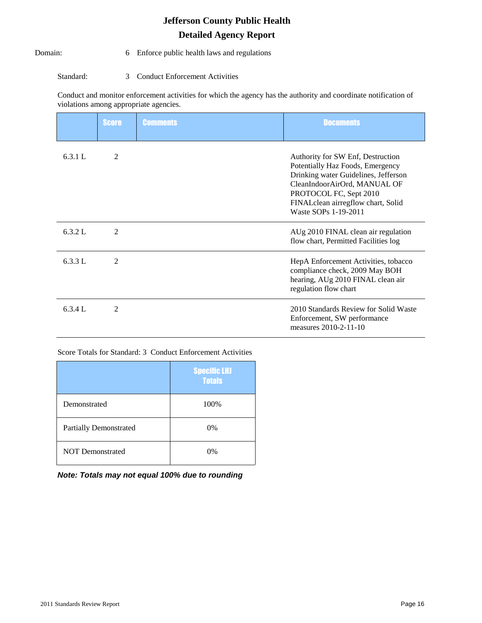#### Domain: 6 Enforce public health laws and regulations

Standard: 3 Conduct Enforcement Activities

Conduct and monitor enforcement activities for which the agency has the authority and coordinate notification of violations among appropriate agencies.

|         | <b>Score</b>   | <b>Comments</b> | <b>Documents</b>                                                                                                                                                                                                                      |
|---------|----------------|-----------------|---------------------------------------------------------------------------------------------------------------------------------------------------------------------------------------------------------------------------------------|
| 6.3.1 L | 2              |                 | Authority for SW Enf, Destruction<br>Potentially Haz Foods, Emergency<br>Drinking water Guidelines, Jefferson<br>CleanIndoorAirOrd, MANUAL OF<br>PROTOCOL FC, Sept 2010<br>FINALclean airregflow chart, Solid<br>Waste SOPs 1-19-2011 |
| 6.3.2 L | 2              |                 | AUg 2010 FINAL clean air regulation<br>flow chart, Permitted Facilities log                                                                                                                                                           |
| 6.3.3 L | 2              |                 | HepA Enforcement Activities, tobacco<br>compliance check, 2009 May BOH<br>hearing, AUg 2010 FINAL clean air<br>regulation flow chart                                                                                                  |
| 6.3.4 L | $\overline{2}$ |                 | 2010 Standards Review for Solid Waste<br>Enforcement, SW performance<br>measures 2010-2-11-10                                                                                                                                         |

Score Totals for Standard: 3 Conduct Enforcement Activities

|                               | <b>Specific LHJ</b><br><b>Totals</b> |
|-------------------------------|--------------------------------------|
| Demonstrated                  | 100%                                 |
| <b>Partially Demonstrated</b> | 0%                                   |
| <b>NOT Demonstrated</b>       | $0\%$                                |

|  | Note: Totals may not equal 100% due to rounding |  |  |  |  |  |  |  |  |
|--|-------------------------------------------------|--|--|--|--|--|--|--|--|
|--|-------------------------------------------------|--|--|--|--|--|--|--|--|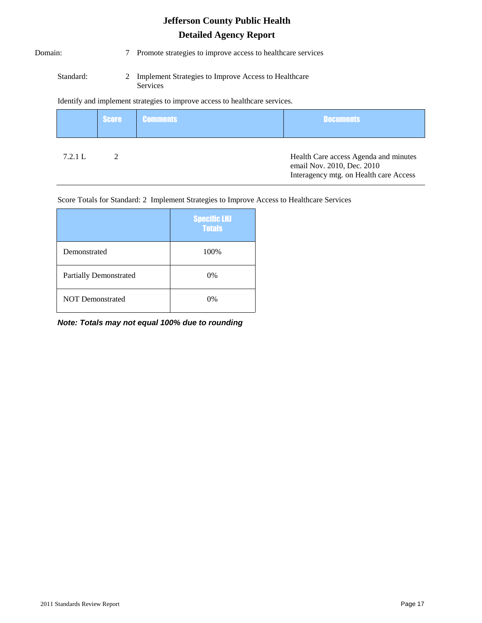Domain: 7 Promote strategies to improve access to healthcare services

Standard: 2 Implement Strategies to Improve Access to Healthcare Services

### Identify and implement strategies to improve access to healthcare services.

|         | <b>Score</b> | <b>Comments</b> | <b>Documents</b>                                                                                              |
|---------|--------------|-----------------|---------------------------------------------------------------------------------------------------------------|
| 7.2.1 L |              |                 | Health Care access Agenda and minutes<br>email Nov. 2010, Dec. 2010<br>Interagency mtg. on Health care Access |

#### Score Totals for Standard: 2 Implement Strategies to Improve Access to Healthcare Services

|                               | <b>Specific LHJ</b><br><b>Totals</b> |
|-------------------------------|--------------------------------------|
| Demonstrated                  | 100%                                 |
| <b>Partially Demonstrated</b> | $0\%$                                |
| <b>NOT Demonstrated</b>       | $0\%$                                |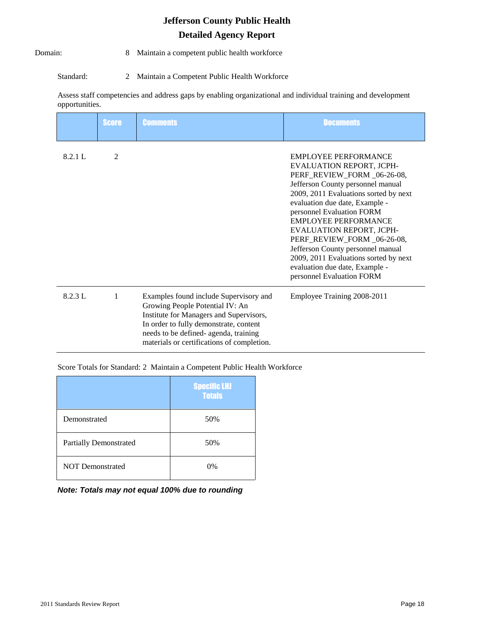Domain: 8 Maintain a competent public health workforce

Standard: 2 Maintain a Competent Public Health Workforce

Assess staff competencies and address gaps by enabling organizational and individual training and development opportunities.

|         | <b>Score</b> | <b>Comments</b>                                                                                                                                                                                                                                       | <b>Documents</b>                                                                                                                                                                                                                                                                                                                                                                                                                                                         |
|---------|--------------|-------------------------------------------------------------------------------------------------------------------------------------------------------------------------------------------------------------------------------------------------------|--------------------------------------------------------------------------------------------------------------------------------------------------------------------------------------------------------------------------------------------------------------------------------------------------------------------------------------------------------------------------------------------------------------------------------------------------------------------------|
| 8.2.1 L | 2            |                                                                                                                                                                                                                                                       | <b>EMPLOYEE PERFORMANCE</b><br>EVALUATION REPORT, JCPH-<br>PERF_REVIEW_FORM_06-26-08,<br>Jefferson County personnel manual<br>2009, 2011 Evaluations sorted by next<br>evaluation due date, Example -<br>personnel Evaluation FORM<br><b>EMPLOYEE PERFORMANCE</b><br>EVALUATION REPORT, JCPH-<br>PERF_REVIEW_FORM_06-26-08,<br>Jefferson County personnel manual<br>2009, 2011 Evaluations sorted by next<br>evaluation due date, Example -<br>personnel Evaluation FORM |
| 8.2.3 L | 1            | Examples found include Supervisory and<br>Growing People Potential IV: An<br>Institute for Managers and Supervisors,<br>In order to fully demonstrate, content<br>needs to be defined- agenda, training<br>materials or certifications of completion. | Employee Training 2008-2011                                                                                                                                                                                                                                                                                                                                                                                                                                              |

Score Totals for Standard: 2 Maintain a Competent Public Health Workforce

|                               | <b>Specific LHJ</b><br><b>Totals</b> |
|-------------------------------|--------------------------------------|
| Demonstrated                  | 50%                                  |
| <b>Partially Demonstrated</b> | 50%                                  |
| <b>NOT Demonstrated</b>       | 0%                                   |

|  |  |  | Note: Totals may not equal 100% due to rounding |
|--|--|--|-------------------------------------------------|
|  |  |  |                                                 |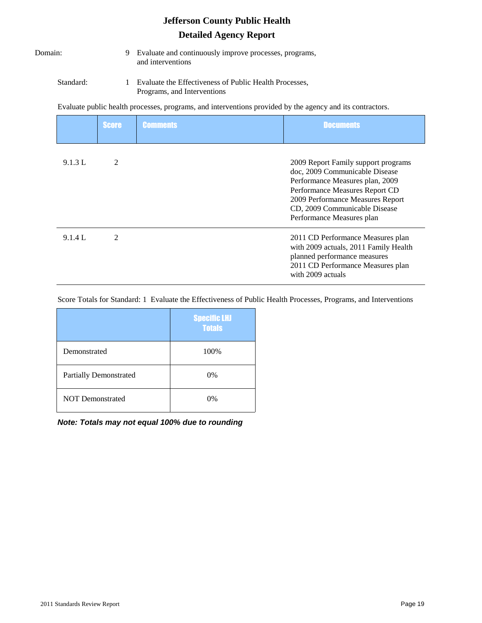|              |           |                | <b>Jefferson County Public Health</b>                                                                     |                                                                                                                                                                                                                                              |  |  |  |
|--------------|-----------|----------------|-----------------------------------------------------------------------------------------------------------|----------------------------------------------------------------------------------------------------------------------------------------------------------------------------------------------------------------------------------------------|--|--|--|
|              |           |                | <b>Detailed Agency Report</b>                                                                             |                                                                                                                                                                                                                                              |  |  |  |
| Domain:<br>9 |           |                | Evaluate and continuously improve processes, programs,<br>and interventions                               |                                                                                                                                                                                                                                              |  |  |  |
|              | Standard: | 1              | Evaluate the Effectiveness of Public Health Processes,<br>Programs, and Interventions                     |                                                                                                                                                                                                                                              |  |  |  |
|              |           |                | Evaluate public health processes, programs, and interventions provided by the agency and its contractors. |                                                                                                                                                                                                                                              |  |  |  |
|              |           | <b>Score</b>   | <b>Comments</b>                                                                                           | <b>Documents</b>                                                                                                                                                                                                                             |  |  |  |
|              | 9.1.3 L   | 2              |                                                                                                           | 2009 Report Family support programs<br>doc, 2009 Communicable Disease<br>Performance Measures plan, 2009<br>Performance Measures Report CD<br>2009 Performance Measures Report<br>CD, 2009 Communicable Disease<br>Performance Measures plan |  |  |  |
|              | 9.1.4 L   | $\overline{2}$ |                                                                                                           | 2011 CD Performance Measures plan<br>with 2009 actuals, 2011 Family Health<br>planned performance measures<br>2011 CD Performance Measures plan<br>with 2009 actuals                                                                         |  |  |  |

Score Totals for Standard: 1 Evaluate the Effectiveness of Public Health Processes, Programs, and Interventions

|                               | <b>Specific LHJ</b><br><b>Totals</b> |
|-------------------------------|--------------------------------------|
| Demonstrated                  | 100%                                 |
| <b>Partially Demonstrated</b> | 0%                                   |
| <b>NOT Demonstrated</b>       | 0%                                   |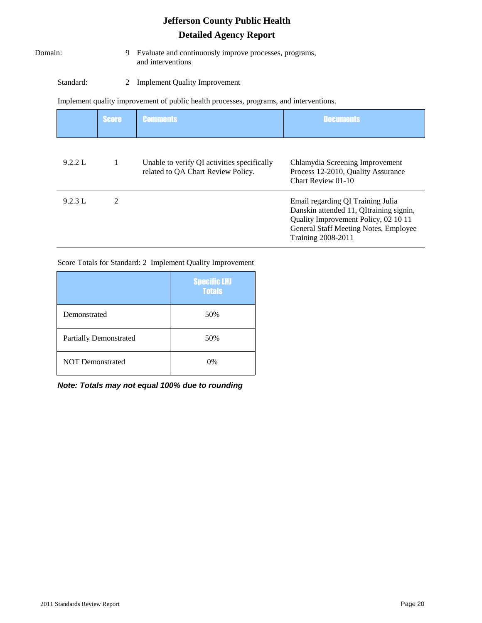Domain: 9 Evaluate and continuously improve processes, programs, and interventions

Standard: 2 Implement Quality Improvement

Implement quality improvement of public health processes, programs, and interventions.

|         | <b>Score</b> | <b>Comments</b>                                                                   | <b>Documents</b>                                                                                                                                                                           |
|---------|--------------|-----------------------------------------------------------------------------------|--------------------------------------------------------------------------------------------------------------------------------------------------------------------------------------------|
| 9.2.2 L |              | Unable to verify QI activities specifically<br>related to QA Chart Review Policy. | Chlamydia Screening Improvement<br>Process 12-2010, Quality Assurance<br>Chart Review 01-10                                                                                                |
| 9.2.3 L | 2            |                                                                                   | Email regarding QI Training Julia<br>Danskin attended 11, QItraining signin,<br>Quality Improvement Policy, 02 10 11<br>General Staff Meeting Notes, Employee<br><b>Training 2008-2011</b> |

#### Score Totals for Standard: 2 Implement Quality Improvement

|                               | <b>Specific LHJ</b><br><b>Totals</b> |
|-------------------------------|--------------------------------------|
| Demonstrated                  | 50%                                  |
| <b>Partially Demonstrated</b> | 50%                                  |
| <b>NOT Demonstrated</b>       | $0\%$                                |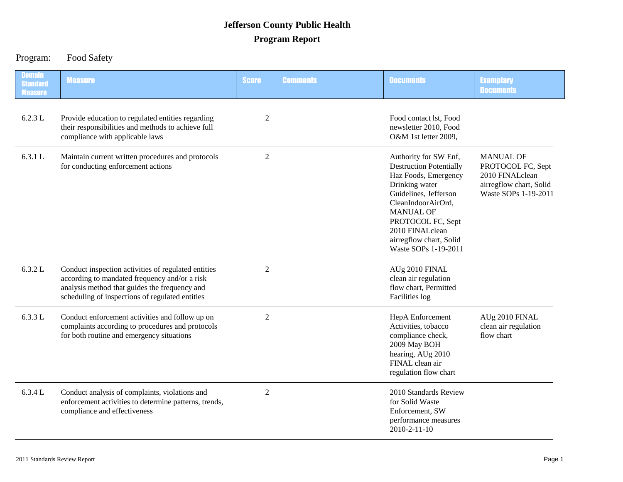# Program: Food Safety

| <b>Domain</b><br><b>Standard</b><br><b>Measure</b> | <b>Measure</b>                                                                                                                                                                                           | <b>Score</b>   | <b>Comments</b> | <b>Documents</b>                                                                                                                                                                                                                                                | <b>Exemplary</b><br><b>Documents</b>                                                                        |
|----------------------------------------------------|----------------------------------------------------------------------------------------------------------------------------------------------------------------------------------------------------------|----------------|-----------------|-----------------------------------------------------------------------------------------------------------------------------------------------------------------------------------------------------------------------------------------------------------------|-------------------------------------------------------------------------------------------------------------|
| 6.2.3 L                                            | Provide education to regulated entities regarding<br>their responsibilities and methods to achieve full<br>compliance with applicable laws                                                               | $\overline{2}$ |                 | Food contact lst, Food<br>newsletter 2010, Food<br>O&M 1st letter 2009,                                                                                                                                                                                         |                                                                                                             |
| 6.3.1 L                                            | Maintain current written procedures and protocols<br>for conducting enforcement actions                                                                                                                  | $\overline{2}$ |                 | Authority for SW Enf,<br><b>Destruction Potentially</b><br>Haz Foods, Emergency<br>Drinking water<br>Guidelines, Jefferson<br>CleanIndoorAirOrd,<br><b>MANUAL OF</b><br>PROTOCOL FC, Sept<br>2010 FINALclean<br>airregflow chart, Solid<br>Waste SOPs 1-19-2011 | <b>MANUAL OF</b><br>PROTOCOL FC, Sept<br>2010 FINALclean<br>airregflow chart, Solid<br>Waste SOPs 1-19-2011 |
| 6.3.2 L                                            | Conduct inspection activities of regulated entities<br>according to mandated frequency and/or a risk<br>analysis method that guides the frequency and<br>scheduling of inspections of regulated entities | $\overline{2}$ |                 | AUg 2010 FINAL<br>clean air regulation<br>flow chart, Permitted<br>Facilities log                                                                                                                                                                               |                                                                                                             |
| 6.3.3 L                                            | Conduct enforcement activities and follow up on<br>complaints according to procedures and protocols<br>for both routine and emergency situations                                                         | $\overline{2}$ |                 | HepA Enforcement<br>Activities, tobacco<br>compliance check,<br>2009 May BOH<br>hearing, AUg 2010<br>FINAL clean air<br>regulation flow chart                                                                                                                   | AUg 2010 FINAL<br>clean air regulation<br>flow chart                                                        |
| 6.3.4 L                                            | Conduct analysis of complaints, violations and<br>enforcement activities to determine patterns, trends,<br>compliance and effectiveness                                                                  | $\overline{2}$ |                 | 2010 Standards Review<br>for Solid Waste<br>Enforcement, SW<br>performance measures<br>2010-2-11-10                                                                                                                                                             |                                                                                                             |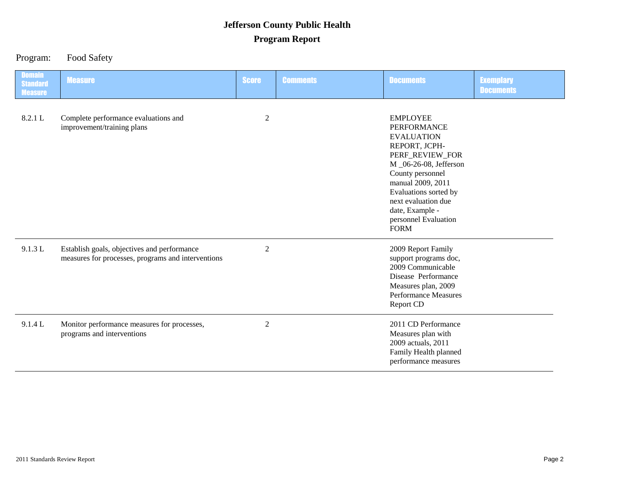Program: Food Safety

| <b>Domain</b><br><b>Standard</b><br><b>Measure</b> | <b>Measure</b>                                                                                    | <b>Score</b>   | <b>Comments</b> | <b>Documents</b>                                                                                                                                                                                                                                                            | <b>Exemplary</b><br><b>Documents</b> |
|----------------------------------------------------|---------------------------------------------------------------------------------------------------|----------------|-----------------|-----------------------------------------------------------------------------------------------------------------------------------------------------------------------------------------------------------------------------------------------------------------------------|--------------------------------------|
| 8.2.1 L                                            | Complete performance evaluations and<br>improvement/training plans                                | $\overline{c}$ |                 | <b>EMPLOYEE</b><br><b>PERFORMANCE</b><br><b>EVALUATION</b><br>REPORT, JCPH-<br>PERF_REVIEW_FOR<br>M _06-26-08, Jefferson<br>County personnel<br>manual 2009, 2011<br>Evaluations sorted by<br>next evaluation due<br>date, Example -<br>personnel Evaluation<br><b>FORM</b> |                                      |
| 9.1.3 L                                            | Establish goals, objectives and performance<br>measures for processes, programs and interventions | $\overline{2}$ |                 | 2009 Report Family<br>support programs doc,<br>2009 Communicable<br>Disease Performance<br>Measures plan, 2009<br><b>Performance Measures</b><br>Report CD                                                                                                                  |                                      |
| 9.1.4 L                                            | Monitor performance measures for processes,<br>programs and interventions                         | $\mathfrak{2}$ |                 | 2011 CD Performance<br>Measures plan with<br>2009 actuals, 2011<br>Family Health planned<br>performance measures                                                                                                                                                            |                                      |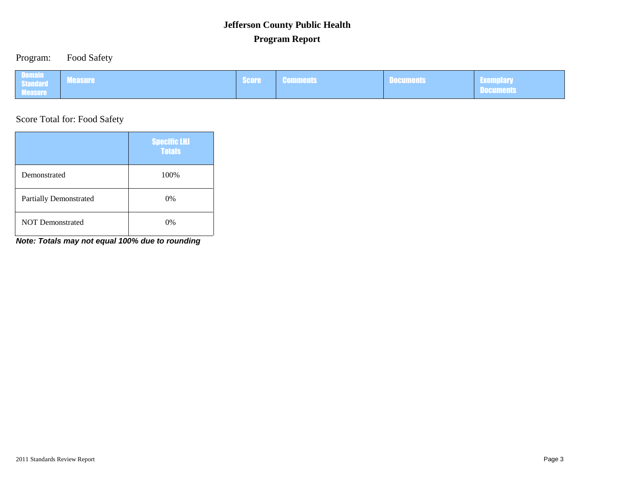### Program: Food Safety

| <b>Domain</b><br><b>Measure</b><br>Standard <sup>1</sup><br><b>Measure</b> | <b>Score</b> | la consegue de la facta<br><b>GUINNIGHTS</b> | <b>POCULICIII</b> S | <b>Contract of the Second Contract of the Second Contract of the Second Contract of the Second Contract of the Second</b><br><b>Exemplary</b><br>— воопшонко |
|----------------------------------------------------------------------------|--------------|----------------------------------------------|---------------------|--------------------------------------------------------------------------------------------------------------------------------------------------------------|
|----------------------------------------------------------------------------|--------------|----------------------------------------------|---------------------|--------------------------------------------------------------------------------------------------------------------------------------------------------------|

Score Total for: Food Safety

|                               | <b>Specific LHJ</b><br><b>Totals</b> |
|-------------------------------|--------------------------------------|
| Demonstrated                  | 100%                                 |
| <b>Partially Demonstrated</b> | 0%                                   |
| <b>NOT Demonstrated</b>       | 0%                                   |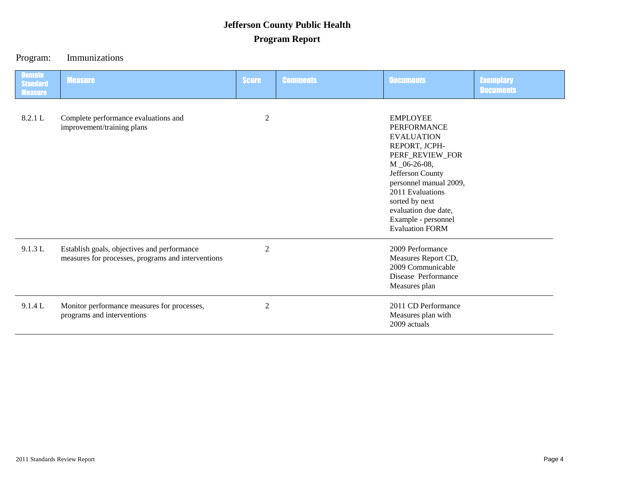### Program: Immunizations

| <b>Domain</b><br><b>Standard</b><br><b>Measure</b> | <b>Measure</b>                                                                                    | <b>Score</b>   | <b>Comments</b> | <b>Documents</b>                                                                                                                                                                                                                                                            | <b>Exemplary</b><br><b>Documents</b> |
|----------------------------------------------------|---------------------------------------------------------------------------------------------------|----------------|-----------------|-----------------------------------------------------------------------------------------------------------------------------------------------------------------------------------------------------------------------------------------------------------------------------|--------------------------------------|
| 8.2.1 L                                            | Complete performance evaluations and<br>improvement/training plans                                | $\mathbf{2}$   |                 | <b>EMPLOYEE</b><br><b>PERFORMANCE</b><br><b>EVALUATION</b><br>REPORT, JCPH-<br>PERF_REVIEW_FOR<br>M _06-26-08,<br>Jefferson County<br>personnel manual 2009,<br>2011 Evaluations<br>sorted by next<br>evaluation due date,<br>Example - personnel<br><b>Evaluation FORM</b> |                                      |
| 9.1.3 L                                            | Establish goals, objectives and performance<br>measures for processes, programs and interventions | $\overline{2}$ |                 | 2009 Performance<br>Measures Report CD,<br>2009 Communicable<br>Disease Performance<br>Measures plan                                                                                                                                                                        |                                      |
| 9.1.4 L                                            | Monitor performance measures for processes,<br>programs and interventions                         | $\overline{2}$ |                 | 2011 CD Performance<br>Measures plan with<br>2009 actuals                                                                                                                                                                                                                   |                                      |